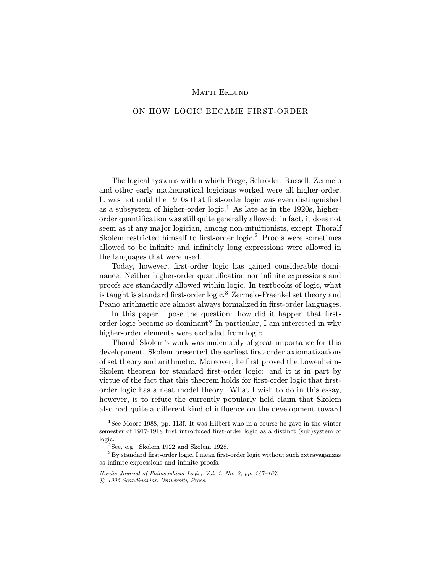# ON HOW LOGIC BECAME FIRST-ORDER

The logical systems within which Frege, Schröder, Russell, Zermelo and other early mathematical logicians worked were all higher-order. It was not until the 1910s that first-order logic was even distinguished as a subsystem of higher-order logic.<sup>1</sup> As late as in the 1920s, higherorder quantification was still quite generally allowed: in fact, it does not seem as if any major logician, among non-intuitionists, except Thoralf Skolem restricted himself to first-order logic.<sup>2</sup> Proofs were sometimes allowed to be infinite and infinitely long expressions were allowed in the languages that were used.

Today, however, first-order logic has gained considerable dominance. Neither higher-order quantification nor infinite expressions and proofs are standardly allowed within logic. In textbooks of logic, what is taught is standard first-order logic.<sup>3</sup> Zermelo-Fraenkel set theory and Peano arithmetic are almost always formalized in first-order languages.

In this paper I pose the question: how did it happen that firstorder logic became so dominant? In particular, I am interested in why higher-order elements were excluded from logic.

Thoralf Skolem's work was undeniably of great importance for this development. Skolem presented the earliest first-order axiomatizations of set theory and arithmetic. Moreover, he first proved the Löwenheim-Skolem theorem for standard first-order logic: and it is in part by virtue of the fact that this theorem holds for first-order logic that firstorder logic has a neat model theory. What I wish to do in this essay, however, is to refute the currently popularly held claim that Skolem also had quite a different kind of influence on the development toward

<sup>&</sup>lt;sup>1</sup>See Moore 1988, pp. 113f. It was Hilbert who in a course he gave in the winter semester of 1917-1918 first introduced first-order logic as a distinct (sub)system of logic.

 $2$ See, e.g., Skolem 1922 and Skolem 1928.

<sup>3</sup>By standard first-order logic, I mean first-order logic without such extravaganzas as infinite expressions and infinite proofs.

Nordic Journal of Philosophical Logic, Vol. 1, No. 2, pp. 147–167.

c 1996 Scandinavian University Press.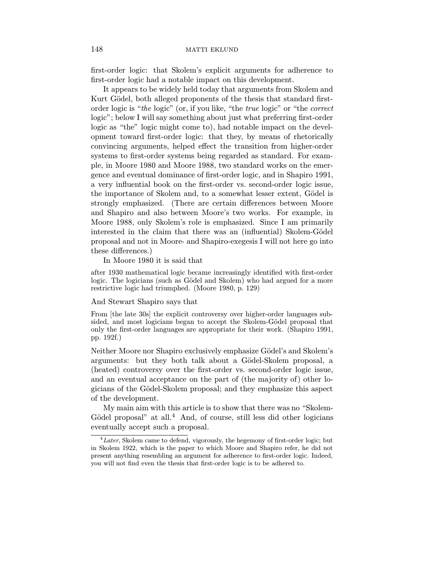first-order logic: that Skolem's explicit arguments for adherence to first-order logic had a notable impact on this development.

It appears to be widely held today that arguments from Skolem and Kurt Gödel, both alleged proponents of the thesis that standard firstorder logic is "the logic" (or, if you like, "the true logic" or "the correct logic"; below I will say something about just what preferring first-order logic as "the" logic might come to), had notable impact on the development toward first-order logic: that they, by means of rhetorically convincing arguments, helped effect the transition from higher-order systems to first-order systems being regarded as standard. For example, in Moore 1980 and Moore 1988, two standard works on the emergence and eventual dominance of first-order logic, and in Shapiro 1991, a very influential book on the first-order vs. second-order logic issue, the importance of Skolem and, to a somewhat lesser extent, Gödel is strongly emphasized. (There are certain differences between Moore and Shapiro and also between Moore's two works. For example, in Moore 1988, only Skolem's role is emphasized. Since I am primarily interested in the claim that there was an (influential) Skolem-Gödel proposal and not in Moore- and Shapiro-exegesis I will not here go into these differences.)

In Moore 1980 it is said that

after 1930 mathematical logic became increasingly identified with first-order logic. The logicians (such as Gödel and Skolem) who had argued for a more restrictive logic had triumphed. (Moore 1980, p. 129)

# And Stewart Shapiro says that

From [the late 30s] the explicit controversy over higher-order languages subsided, and most logicians began to accept the Skolem-Gödel proposal that only the first-order languages are appropriate for their work. (Shapiro 1991, pp. 192f.)

Neither Moore nor Shapiro exclusively emphasize Gödel's and Skolem's arguments: but they both talk about a Gödel-Skolem proposal, a (heated) controversy over the first-order vs. second-order logic issue, and an eventual acceptance on the part of (the majority of) other logicians of the Gödel-Skolem proposal; and they emphasize this aspect of the development.

My main aim with this article is to show that there was no "Skolem-Gödel proposal" at all.<sup>4</sup> And, of course, still less did other logicians eventually accept such a proposal.

 ${}^{4}Later$ , Skolem came to defend, vigorously, the hegemony of first-order logic; but in Skolem 1922, which is the paper to which Moore and Shapiro refer, he did not present anything resembling an argument for adherence to first-order logic. Indeed, you will not find even the thesis that first-order logic is to be adhered to.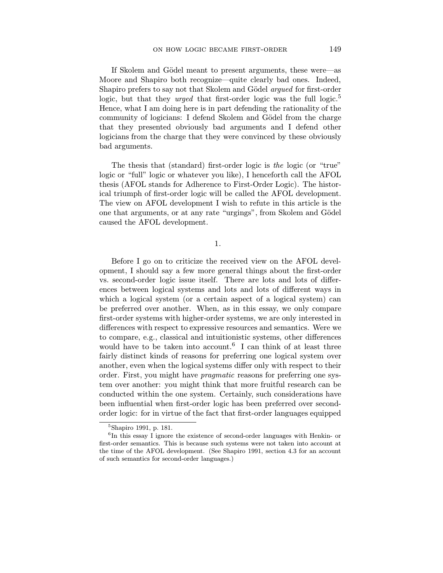If Skolem and Gödel meant to present arguments, these were—as Moore and Shapiro both recognize—quite clearly bad ones. Indeed, Shapiro prefers to say not that Skolem and Gödel *argued* for first-order logic, but that they *urged* that first-order logic was the full logic.<sup>5</sup> Hence, what I am doing here is in part defending the rationality of the community of logicians: I defend Skolem and Gödel from the charge that they presented obviously bad arguments and I defend other logicians from the charge that they were convinced by these obviously bad arguments.

The thesis that (standard) first-order logic is the logic (or "true" logic or "full" logic or whatever you like), I henceforth call the AFOL thesis (AFOL stands for Adherence to First-Order Logic). The historical triumph of first-order logic will be called the AFOL development. The view on AFOL development I wish to refute in this article is the one that arguments, or at any rate "urgings", from Skolem and Gödel caused the AFOL development.

1.

Before I go on to criticize the received view on the AFOL development, I should say a few more general things about the first-order vs. second-order logic issue itself. There are lots and lots of differences between logical systems and lots and lots of different ways in which a logical system (or a certain aspect of a logical system) can be preferred over another. When, as in this essay, we only compare first-order systems with higher-order systems, we are only interested in differences with respect to expressive resources and semantics. Were we to compare, e.g., classical and intuitionistic systems, other differences would have to be taken into account.<sup>6</sup> I can think of at least three fairly distinct kinds of reasons for preferring one logical system over another, even when the logical systems differ only with respect to their order. First, you might have pragmatic reasons for preferring one system over another: you might think that more fruitful research can be conducted within the one system. Certainly, such considerations have been influential when first-order logic has been preferred over secondorder logic: for in virtue of the fact that first-order languages equipped

<sup>5</sup>Shapiro 1991, p. 181.

<sup>&</sup>lt;sup>6</sup>In this essay I ignore the existence of second-order languages with Henkin- or first-order semantics. This is because such systems were not taken into account at the time of the AFOL development. (See Shapiro 1991, section 4.3 for an account of such semantics for second-order languages.)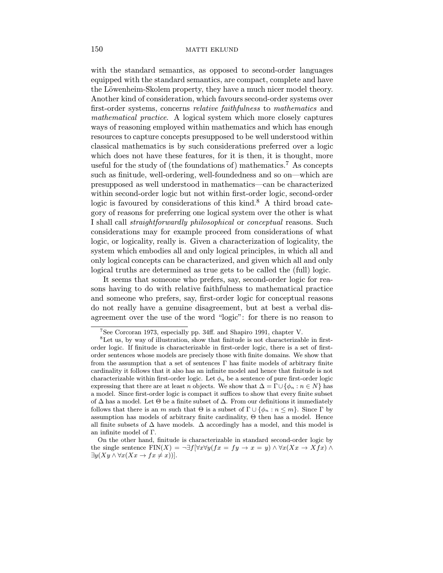with the standard semantics, as opposed to second-order languages equipped with the standard semantics, are compact, complete and have the Löwenheim-Skolem property, they have a much nicer model theory. Another kind of consideration, which favours second-order systems over first-order systems, concerns *relative faithfulness* to *mathematics* and mathematical practice. A logical system which more closely captures ways of reasoning employed within mathematics and which has enough resources to capture concepts presupposed to be well understood within classical mathematics is by such considerations preferred over a logic which does not have these features, for it is then, it is thought, more useful for the study of (the foundations of) mathematics.<sup>7</sup> As concepts such as finitude, well-ordering, well-foundedness and so on—which are presupposed as well understood in mathematics—can be characterized within second-order logic but not within first-order logic, second-order logic is favoured by considerations of this kind. $8 \text{ A third broad cate-}$ gory of reasons for preferring one logical system over the other is what I shall call straightforwardly philosophical or conceptual reasons. Such considerations may for example proceed from considerations of what logic, or logicality, really is. Given a characterization of logicality, the system which embodies all and only logical principles, in which all and only logical concepts can be characterized, and given which all and only logical truths are determined as true gets to be called the (full) logic.

It seems that someone who prefers, say, second-order logic for reasons having to do with relative faithfulness to mathematical practice and someone who prefers, say, first-order logic for conceptual reasons do not really have a genuine disagreement, but at best a verbal disagreement over the use of the word "logic": for there is no reason to

<sup>7</sup>See Corcoran 1973, especially pp. 34ff. and Shapiro 1991, chapter V.

<sup>8</sup>Let us, by way of illustration, show that finitude is not characterizable in firstorder logic. If finitude is characterizable in first-order logic, there is a set of firstorder sentences whose models are precisely those with finite domains. We show that from the assumption that a set of sentences  $\Gamma$  has finite models of arbitrary finite cardinality it follows that it also has an infinite model and hence that finitude is not characterizable within first-order logic. Let  $\phi_n$  be a sentence of pure first-order logic expressing that there are at least n objects. We show that  $\Delta = \Gamma \cup \{\phi_n : n \in N\}$  has a model. Since first-order logic is compact it suffices to show that every finite subset of  $\Delta$  has a model. Let  $\Theta$  be a finite subset of  $\Delta$ . From our definitions it immediately follows that there is an m such that  $\Theta$  is a subset of  $\Gamma \cup \{\phi_n : n \leq m\}$ . Since  $\Gamma$  by assumption has models of arbitrary finite cardinality, Θ then has a model. Hence all finite subsets of  $\Delta$  have models.  $\Delta$  accordingly has a model, and this model is an infinite model of Γ.

On the other hand, finitude is characterizable in standard second-order logic by the single sentence  $\text{FIN}(X) = \neg \exists f[\forall x \forall y (fx = fy \rightarrow x = y) \land \forall x (Xx \rightarrow Xfx) \land$  $\exists y (Xy \land \forall x (Xx \to fx \neq x))$ .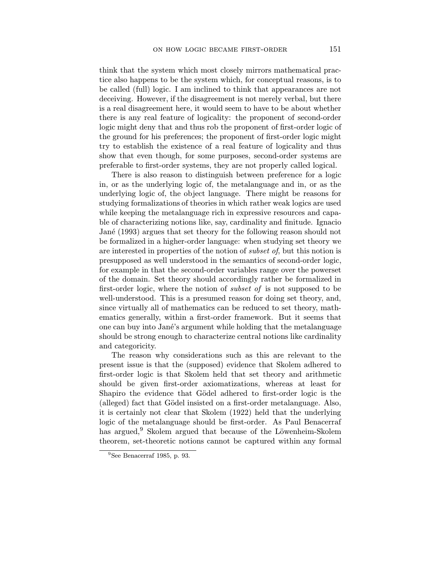think that the system which most closely mirrors mathematical practice also happens to be the system which, for conceptual reasons, is to be called (full) logic. I am inclined to think that appearances are not deceiving. However, if the disagreement is not merely verbal, but there is a real disagreement here, it would seem to have to be about whether there is any real feature of logicality: the proponent of second-order logic might deny that and thus rob the proponent of first-order logic of the ground for his preferences; the proponent of first-order logic might try to establish the existence of a real feature of logicality and thus show that even though, for some purposes, second-order systems are preferable to first-order systems, they are not properly called logical.

There is also reason to distinguish between preference for a logic in, or as the underlying logic of, the metalanguage and in, or as the underlying logic of, the object language. There might be reasons for studying formalizations of theories in which rather weak logics are used while keeping the metalanguage rich in expressive resources and capable of characterizing notions like, say, cardinality and finitude. Ignacio Jané (1993) argues that set theory for the following reason should not be formalized in a higher-order language: when studying set theory we are interested in properties of the notion of subset of, but this notion is presupposed as well understood in the semantics of second-order logic, for example in that the second-order variables range over the powerset of the domain. Set theory should accordingly rather be formalized in first-order logic, where the notion of subset of is not supposed to be well-understood. This is a presumed reason for doing set theory, and, since virtually all of mathematics can be reduced to set theory, mathematics generally, within a first-order framework. But it seems that one can buy into Jané's argument while holding that the metalanguage should be strong enough to characterize central notions like cardinality and categoricity.

The reason why considerations such as this are relevant to the present issue is that the (supposed) evidence that Skolem adhered to first-order logic is that Skolem held that set theory and arithmetic should be given first-order axiomatizations, whereas at least for Shapiro the evidence that Gödel adhered to first-order logic is the (alleged) fact that Gödel insisted on a first-order metalanguage. Also, it is certainly not clear that Skolem (1922) held that the underlying logic of the metalanguage should be first-order. As Paul Benacerraf has argued,<sup>9</sup> Skolem argued that because of the Löwenheim-Skolem theorem, set-theoretic notions cannot be captured within any formal

<sup>9</sup>See Benacerraf 1985, p. 93.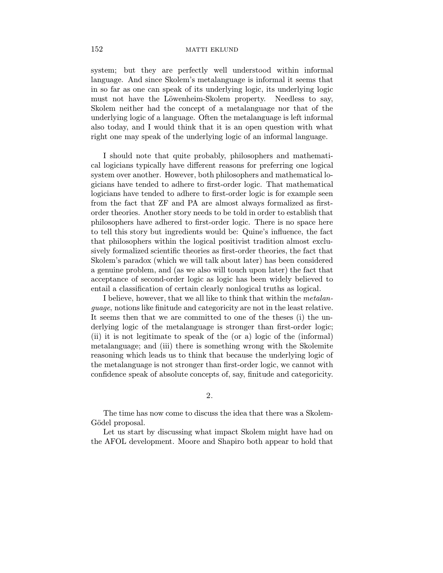system; but they are perfectly well understood within informal language. And since Skolem's metalanguage is informal it seems that in so far as one can speak of its underlying logic, its underlying logic must not have the Löwenheim-Skolem property. Needless to say, Skolem neither had the concept of a metalanguage nor that of the underlying logic of a language. Often the metalanguage is left informal also today, and I would think that it is an open question with what right one may speak of the underlying logic of an informal language.

I should note that quite probably, philosophers and mathematical logicians typically have different reasons for preferring one logical system over another. However, both philosophers and mathematical logicians have tended to adhere to first-order logic. That mathematical logicians have tended to adhere to first-order logic is for example seen from the fact that ZF and PA are almost always formalized as firstorder theories. Another story needs to be told in order to establish that philosophers have adhered to first-order logic. There is no space here to tell this story but ingredients would be: Quine's influence, the fact that philosophers within the logical positivist tradition almost exclusively formalized scientific theories as first-order theories, the fact that Skolem's paradox (which we will talk about later) has been considered a genuine problem, and (as we also will touch upon later) the fact that acceptance of second-order logic as logic has been widely believed to entail a classification of certain clearly nonlogical truths as logical.

I believe, however, that we all like to think that within the metalanguage, notions like finitude and categoricity are not in the least relative. It seems then that we are committed to one of the theses (i) the underlying logic of the metalanguage is stronger than first-order logic; (ii) it is not legitimate to speak of the (or a) logic of the (informal) metalanguage; and (iii) there is something wrong with the Skolemite reasoning which leads us to think that because the underlying logic of the metalanguage is not stronger than first-order logic, we cannot with confidence speak of absolute concepts of, say, finitude and categoricity.

2.

The time has now come to discuss the idea that there was a Skolem-Gödel proposal.

Let us start by discussing what impact Skolem might have had on the AFOL development. Moore and Shapiro both appear to hold that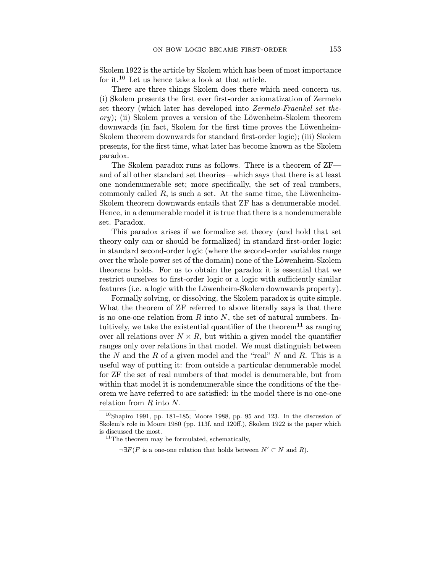Skolem 1922 is the article by Skolem which has been of most importance for it.<sup>10</sup> Let us hence take a look at that article.

There are three things Skolem does there which need concern us. (i) Skolem presents the first ever first-order axiomatization of Zermelo set theory (which later has developed into Zermelo-Fraenkel set the- $\langle \text{or} y \rangle$ ; (ii) Skolem proves a version of the Löwenheim-Skolem theorem downwards (in fact, Skolem for the first time proves the Löwenheim-Skolem theorem downwards for standard first-order logic); (iii) Skolem presents, for the first time, what later has become known as the Skolem paradox.

The Skolem paradox runs as follows. There is a theorem of ZF and of all other standard set theories—which says that there is at least one nondenumerable set; more specifically, the set of real numbers, commonly called  $R$ , is such a set. At the same time, the Löwenheim-Skolem theorem downwards entails that ZF has a denumerable model. Hence, in a denumerable model it is true that there is a nondenumerable set. Paradox.

This paradox arises if we formalize set theory (and hold that set theory only can or should be formalized) in standard first-order logic: in standard second-order logic (where the second-order variables range over the whole power set of the domain) none of the Löwenheim-Skolem theorems holds. For us to obtain the paradox it is essential that we restrict ourselves to first-order logic or a logic with sufficiently similar features (i.e. a logic with the Löwenheim-Skolem downwards property).

Formally solving, or dissolving, the Skolem paradox is quite simple. What the theorem of  $ZF$  referred to above literally says is that there is no one-one relation from  $R$  into  $N$ , the set of natural numbers. Intuitively, we take the existential quantifier of the theorem<sup>11</sup> as ranging over all relations over  $N \times R$ , but within a given model the quantifier ranges only over relations in that model. We must distinguish between the N and the R of a given model and the "real"  $N$  and  $R$ . This is a useful way of putting it: from outside a particular denumerable model for ZF the set of real numbers of that model is denumerable, but from within that model it is nondenumerable since the conditions of the theorem we have referred to are satisfied: in the model there is no one-one relation from R into N.

 $10$ Shapiro 1991, pp. 181–185; Moore 1988, pp. 95 and 123. In the discussion of Skolem's role in Moore 1980 (pp. 113f. and 120ff.), Skolem 1922 is the paper which is discussed the most.

 $11$ The theorem may be formulated, schematically,

 $\neg \exists F(F \text{ is a one-one relation that holds between } N' \subset N \text{ and } R).$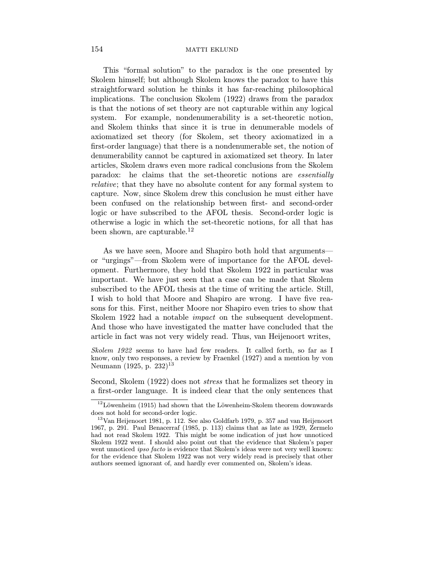This "formal solution" to the paradox is the one presented by Skolem himself; but although Skolem knows the paradox to have this straightforward solution he thinks it has far-reaching philosophical implications. The conclusion Skolem (1922) draws from the paradox is that the notions of set theory are not capturable within any logical system. For example, nondenumerability is a set-theoretic notion, and Skolem thinks that since it is true in denumerable models of axiomatized set theory (for Skolem, set theory axiomatized in a first-order language) that there is a nondenumerable set, the notion of denumerability cannot be captured in axiomatized set theory. In later articles, Skolem draws even more radical conclusions from the Skolem paradox: he claims that the set-theoretic notions are essentially relative; that they have no absolute content for any formal system to capture. Now, since Skolem drew this conclusion he must either have been confused on the relationship between first- and second-order logic or have subscribed to the AFOL thesis. Second-order logic is otherwise a logic in which the set-theoretic notions, for all that has been shown, are capturable.<sup>12</sup>

As we have seen, Moore and Shapiro both hold that arguments or "urgings"—from Skolem were of importance for the AFOL development. Furthermore, they hold that Skolem 1922 in particular was important. We have just seen that a case can be made that Skolem subscribed to the AFOL thesis at the time of writing the article. Still, I wish to hold that Moore and Shapiro are wrong. I have five reasons for this. First, neither Moore nor Shapiro even tries to show that Skolem 1922 had a notable impact on the subsequent development. And those who have investigated the matter have concluded that the article in fact was not very widely read. Thus, van Heijenoort writes,

Skolem 1922 seems to have had few readers. It called forth, so far as I know, only two responses, a review by Fraenkel (1927) and a mention by von Neumann (1925, p. 232)<sup>13</sup>

Second, Skolem (1922) does not stress that he formalizes set theory in a first-order language. It is indeed clear that the only sentences that

 $12$ Löwenheim (1915) had shown that the Löwenheim-Skolem theorem downwards does not hold for second-order logic.

<sup>13</sup>Van Heijenoort 1981, p. 112. See also Goldfarb 1979, p. 357 and van Heijenoort 1967, p. 291. Paul Benacerraf (1985, p. 113) claims that as late as 1929, Zermelo had not read Skolem 1922. This might be some indication of just how unnoticed Skolem 1922 went. I should also point out that the evidence that Skolem's paper went unnoticed *ipso facto* is evidence that Skolem's ideas were not very well known: for the evidence that Skolem 1922 was not very widely read is precisely that other authors seemed ignorant of, and hardly ever commented on, Skolem's ideas.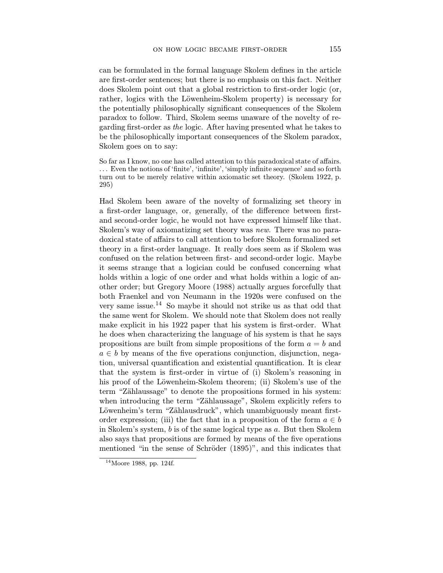can be formulated in the formal language Skolem defines in the article are first-order sentences; but there is no emphasis on this fact. Neither does Skolem point out that a global restriction to first-order logic (or, rather, logics with the Löwenheim-Skolem property) is necessary for the potentially philosophically significant consequences of the Skolem paradox to follow. Third, Skolem seems unaware of the novelty of regarding first-order as the logic. After having presented what he takes to be the philosophically important consequences of the Skolem paradox, Skolem goes on to say:

So far as I know, no one has called attention to this paradoxical state of affairs. .. . Even the notions of 'finite', 'infinite', 'simply infinite sequence' and so forth turn out to be merely relative within axiomatic set theory. (Skolem 1922, p. 295)

Had Skolem been aware of the novelty of formalizing set theory in a first-order language, or, generally, of the difference between firstand second-order logic, he would not have expressed himself like that. Skolem's way of axiomatizing set theory was *new*. There was no paradoxical state of affairs to call attention to before Skolem formalized set theory in a first-order language. It really does seem as if Skolem was confused on the relation between first- and second-order logic. Maybe it seems strange that a logician could be confused concerning what holds within a logic of one order and what holds within a logic of another order; but Gregory Moore (1988) actually argues forcefully that both Fraenkel and von Neumann in the 1920s were confused on the very same issue.<sup>14</sup> So maybe it should not strike us as that odd that the same went for Skolem. We should note that Skolem does not really make explicit in his 1922 paper that his system is first-order. What he does when characterizing the language of his system is that he says propositions are built from simple propositions of the form  $a = b$  and  $a \in b$  by means of the five operations conjunction, disjunction, negation, universal quantification and existential quantification. It is clear that the system is first-order in virtue of (i) Skolem's reasoning in his proof of the Löwenheim-Skolem theorem; (ii) Skolem's use of the term "Zählaussage" to denote the propositions formed in his system: when introducing the term "Zählaussage", Skolem explicitly refers to Löwenheim's term "Zählausdruck", which unambiguously meant firstorder expression; (iii) the fact that in a proposition of the form  $a \in b$ in Skolem's system, b is of the same logical type as a. But then Skolem also says that propositions are formed by means of the five operations mentioned "in the sense of Schröder (1895)", and this indicates that

 $14$ Moore 1988, pp. 124f.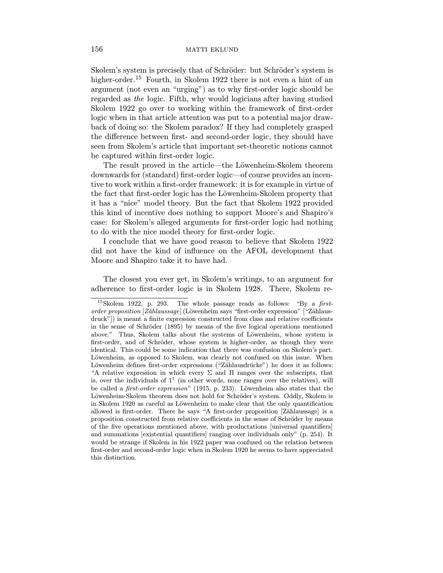Skolem's system is precisely that of Schröder: but Schröder's system is higher-order.<sup>15</sup> Fourth, in Skolem 1922 there is not even a hint of an argument (not even an "urging") as to why first-order logic should be regarded as the logic. Fifth, why would logicians after having studied Skolem 1922 go over to working within the framework of first-order logic when in that article attention was put to a potential major drawback of doing so: the Skolem paradox? If they had completely grasped the difference between first- and second-order logic, they should have seen from Skolem's article that important set-theoretic notions cannot be captured within first-order logic.

The result proved in the article—the Löwenheim-Skolem theorem downwards for (standard) first-order logic—of course provides an incentive to work within a first-order framework: it is for example in virtue of the fact that first-order logic has the Löwenheim-Skolem property that it has a "nice" model theory. But the fact that Skolem 1922 provided this kind of incentive does nothing to support Moore's and Shapiro's case: for Skolem's alleged arguments for first-order logic had nothing to do with the nice model theory for first-order logic.

I conclude that we have good reason to believe that Skolem 1922 did not have the kind of influence on the AFOL development that Moore and Shapiro take it to have had.

The closest you ever get, in Skolem's writings, to an argument for adherence to first-order logic is in Skolem 1928. There, Skolem re-

 $15$ Skolem 1922, p. 293. The whole passage reads as follows: "By a firstorder proposition  $[Z\ddot{a}hlaussaqe]$  (Löwenheim says "first-order expression" ["Zählausdruck"]) is meant a finite expression constructed from class and relative coefficients in the sense of Schröder  $(1895)$  by means of the five logical operations mentioned above." Thus, Skolem talks about the systems of Löwenheim, whose system is first-order, and of Schröder, whose system is higher-order, as though they were identical. This could be some indication that there was confusion on Skolem's part. Löwenheim, as opposed to Skolem, was clearly not confused on this issue. When Löwenheim defines first-order expressions ("Zählausdrücke") he does it as follows: "A relative expression in which every  $\Sigma$  and  $\Pi$  ranges over the subscripts, that is, over the individuals of  $1<sup>1</sup>$  (in other words, none ranges over the relatives), will be called a *first-order expression*" (1915, p. 233). Löwenheim also states that the Löwenheim-Skolem theorem does not hold for Schröder's system. Oddly, Skolem is in Skolem 1920 as careful as Löwenheim to make clear that the only quantification allowed is first-order. There he says "A first-order proposition [Zählaussage] is a proposition constructed from relative coefficients in the sense of Schröder by means of the five operations mentioned above, with productations [universal quantifiers] and summations [existential quantifiers] ranging over individuals only" (p. 254). It would be strange if Skolem in his 1922 paper was confused on the relation between first-order and second-order logic when in Skolem 1920 he seems to have appreciated this distinction.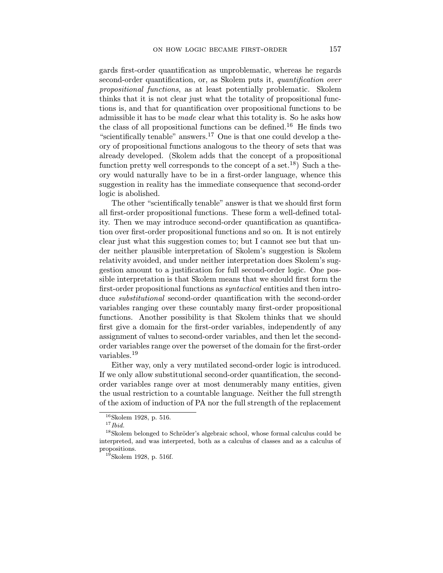gards first-order quantification as unproblematic, whereas he regards second-order quantification, or, as Skolem puts it, quantification over propositional functions, as at least potentially problematic. Skolem thinks that it is not clear just what the totality of propositional functions is, and that for quantification over propositional functions to be admissible it has to be made clear what this totality is. So he asks how the class of all propositional functions can be defined.<sup>16</sup> He finds two "scientifically tenable" answers.<sup>17</sup> One is that one could develop a theory of propositional functions analogous to the theory of sets that was already developed. (Skolem adds that the concept of a propositional function pretty well corresponds to the concept of a set.<sup>18</sup>) Such a theory would naturally have to be in a first-order language, whence this suggestion in reality has the immediate consequence that second-order logic is abolished.

The other "scientifically tenable" answer is that we should first form all first-order propositional functions. These form a well-defined totality. Then we may introduce second-order quantification as quantification over first-order propositional functions and so on. It is not entirely clear just what this suggestion comes to; but I cannot see but that under neither plausible interpretation of Skolem's suggestion is Skolem relativity avoided, and under neither interpretation does Skolem's suggestion amount to a justification for full second-order logic. One possible interpretation is that Skolem means that we should first form the first-order propositional functions as *syntactical* entities and then introduce *substitutional* second-order quantification with the second-order variables ranging over these countably many first-order propositional functions. Another possibility is that Skolem thinks that we should first give a domain for the first-order variables, independently of any assignment of values to second-order variables, and then let the secondorder variables range over the powerset of the domain for the first-order variables.<sup>19</sup>

Either way, only a very mutilated second-order logic is introduced. If we only allow substitutional second-order quantification, the secondorder variables range over at most denumerably many entities, given the usual restriction to a countable language. Neither the full strength of the axiom of induction of PA nor the full strength of the replacement

 $16$ Skolem 1928, p. 516.

 $17$  Ibid.

<sup>&</sup>lt;sup>18</sup>Skolem belonged to Schröder's algebraic school, whose formal calculus could be interpreted, and was interpreted, both as a calculus of classes and as a calculus of propositions.

 $19$ Skolem 1928, p. 516f.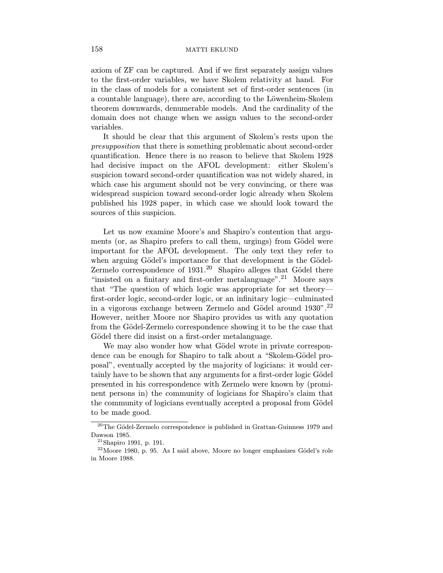#### 158 matrix and matrix extends to matrix extends to matrix extends to matrix  $\sim$  matrix extends to matrix  $\sim$  matrix  $\sim$  matrix  $\sim$  matrix  $\sim$  matrix  $\sim$  matrix  $\sim$  matrix  $\sim$  matrix  $\sim$  matrix  $\sim$  matrix  $\sim$  mat

axiom of ZF can be captured. And if we first separately assign values to the first-order variables, we have Skolem relativity at hand. For in the class of models for a consistent set of first-order sentences (in a countable language), there are, according to the Löwenheim-Skolem theorem downwards, denumerable models. And the cardinality of the domain does not change when we assign values to the second-order variables.

It should be clear that this argument of Skolem's rests upon the presupposition that there is something problematic about second-order quantification. Hence there is no reason to believe that Skolem 1928 had decisive impact on the AFOL development: either Skolem's suspicion toward second-order quantification was not widely shared, in which case his argument should not be very convincing, or there was widespread suspicion toward second-order logic already when Skolem published his 1928 paper, in which case we should look toward the sources of this suspicion.

Let us now examine Moore's and Shapiro's contention that arguments (or, as Shapiro prefers to call them, urgings) from Gödel were important for the AFOL development. The only text they refer to when arguing Gödel's importance for that development is the Gödel-Zermelo correspondence of  $1931<sup>20</sup>$  Shapiro alleges that Gödel there "insisted on a finitary and first-order metalanguage".<sup>21</sup> Moore says that "The question of which logic was appropriate for set theory first-order logic, second-order logic, or an infinitary logic—culminated in a vigorous exchange between Zermelo and Gödel around  $1930"$ .<sup>22</sup> However, neither Moore nor Shapiro provides us with any quotation from the Gödel-Zermelo correspondence showing it to be the case that Gödel there did insist on a first-order metalanguage.

We may also wonder how what Gödel wrote in private correspondence can be enough for Shapiro to talk about a "Skolem-Gödel proposal", eventually accepted by the majority of logicians: it would certainly have to be shown that any arguments for a first-order logic Gödel presented in his correspondence with Zermelo were known by (prominent persons in) the community of logicians for Shapiro's claim that the community of logicians eventually accepted a proposal from Gödel to be made good.

 $^{20}\rm{The}$  Gödel-Zermelo correspondence is published in Grattan-Guinness 1979 and Dawson 1985.

<sup>21</sup>Shapiro 1991, p. 191.

 $22$ Moore 1980, p. 95. As I said above, Moore no longer emphasizes Gödel's role in Moore 1988.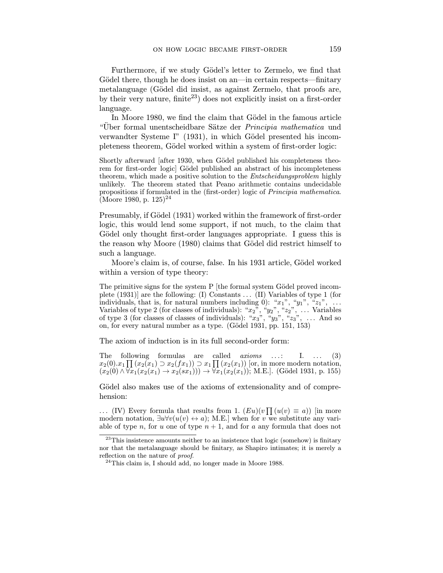Furthermore, if we study Gödel's letter to Zermelo, we find that Gödel there, though he does insist on an—in certain respects—finitary metalanguage (Gödel did insist, as against Zermelo, that proofs are, by their very nature,  $\text{finite}^{23}$  does not explicitly insist on a first-order language.

In Moore 1980, we find the claim that Gödel in the famous article "Über formal unentscheidbare Sätze der Principia mathematica und verwandter Systeme I" (1931), in which Gödel presented his incompleteness theorem, Gödel worked within a system of first-order logic:

Shortly afterward [after 1930, when Gödel published his completeness theorem for first-order logic Gödel published an abstract of his incompleteness theorem, which made a positive solution to the Entscheidungsproblem highly unlikely. The theorem stated that Peano arithmetic contains undecidable propositions if formulated in the (first-order) logic of Principia mathematica. (Moore 1980, p. 125)<sup>24</sup>

Presumably, if Gödel (1931) worked within the framework of first-order logic, this would lend some support, if not much, to the claim that Gödel only thought first-order languages appropriate. I guess this is the reason why Moore (1980) claims that Gödel did restrict himself to such a language.

Moore's claim is, of course, false. In his 1931 article, Gödel worked within a version of type theory:

The primitive signs for the system  $P$  [the formal system Gödel proved incomplete (1931)] are the following: (I) Constants .. . (II) Variables of type 1 (for individuals, that is, for natural numbers including 0): " $x_1$ ", " $y_1$ ", " $z_1$ ", ... Variables of type 2 (for classes of individuals): " $x_2$ ", " $y_2$ ", " $z_2$ ", ... Variables of type 3 (for classes of classes of individuals): " $x_3$ ", " $y_3$ ", " $z_3$ ", ... And so on, for every natural number as a type. (Gödel 1931, pp. 151, 153)

The axiom of induction is in its full second-order form:

The following formulas are called  $axioms$  ...: I. ...  $(3)$  $x_2(0).x_1 \prod (x_2(x_1) \supset x_2(fx_1)) \supset x_1 \prod (x_2(x_1))$  [or, in more modern notation,  $(x_2(0) \wedge \overline{\forall x_1(x_2(x_1)} \rightarrow x_2(sx_1))) \rightarrow \overline{\forall x_1(x_2(x_1))}$ ; M.E.]. (Gödel 1931, p. 155)

Gödel also makes use of the axioms of extensionality and of comprehension:

... (IV) Every formula that results from 1.  $(Eu)(v \prod (u(v) \equiv a))$  [in more modern notation,  $\exists u \forall v(u(v) \leftrightarrow a)$ ; M.E.] when for v we substitute any variable of type n, for u one of type  $n + 1$ , and for a any formula that does not

 $23$ This insistence amounts neither to an insistence that logic (somehow) is finitary nor that the metalanguage should be finitary, as Shapiro intimates; it is merely a reflection on the nature of proof.

<sup>&</sup>lt;sup>24</sup>This claim is, I should add, no longer made in Moore 1988.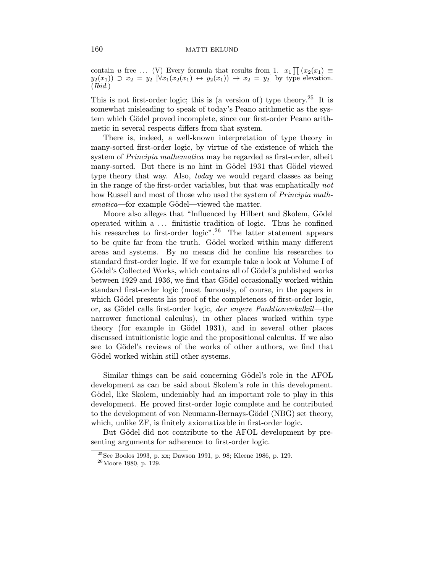contain u free ... (V) Every formula that results from 1.  $x_1 \prod (x_2(x_1)) \equiv$  $y_2(x_1)$   $\supset x_2 = y_2$   $\forall x_1(x_2(x_1) \leftrightarrow y_2(x_1)) \rightarrow x_2 = y_2$  by type elevation.  $(Ibid.)$ 

This is not first-order logic; this is (a version of) type theory.<sup>25</sup> It is somewhat misleading to speak of today's Peano arithmetic as the system which Gödel proved incomplete, since our first-order Peano arithmetic in several respects differs from that system.

There is, indeed, a well-known interpretation of type theory in many-sorted first-order logic, by virtue of the existence of which the system of *Principia mathematica* may be regarded as first-order, albeit many-sorted. But there is no hint in Gödel 1931 that Gödel viewed type theory that way. Also, *today* we would regard classes as being in the range of the first-order variables, but that was emphatically not how Russell and most of those who used the system of *Principia math*ematica—for example Gödel—viewed the matter.

Moore also alleges that "Influenced by Hilbert and Skolem, Gödel operated within a ... finitistic tradition of logic. Thus he confined his researches to first-order logic".<sup>26</sup> The latter statement appears to be quite far from the truth. Gödel worked within many different areas and systems. By no means did he confine his researches to standard first-order logic. If we for example take a look at Volume I of Gödel's Collected Works, which contains all of Gödel's published works between 1929 and 1936, we find that Gödel occasionally worked within standard first-order logic (most famously, of course, in the papers in which Gödel presents his proof of the completeness of first-order logic, or, as Gödel calls first-order logic, der engere Funktionenkalkül—the narrower functional calculus), in other places worked within type theory (for example in Gödel 1931), and in several other places discussed intuitionistic logic and the propositional calculus. If we also see to Gödel's reviews of the works of other authors, we find that Gödel worked within still other systems.

Similar things can be said concerning Gödel's role in the AFOL development as can be said about Skolem's role in this development. Gödel, like Skolem, undeniably had an important role to play in this development. He proved first-order logic complete and he contributed to the development of von Neumann-Bernays-Gödel (NBG) set theory, which, unlike ZF, is finitely axiomatizable in first-order logic.

But Gödel did not contribute to the AFOL development by presenting arguments for adherence to first-order logic.

<sup>25</sup>See Boolos 1993, p. xx; Dawson 1991, p. 98; Kleene 1986, p. 129.

 $^{26}\rm{Moore}$ 1980, p. 129.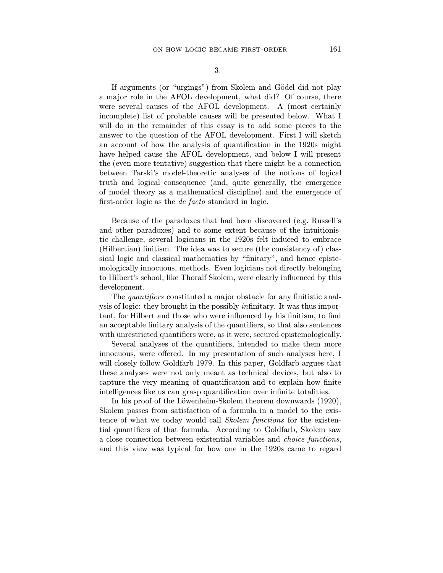If arguments (or "urgings") from Skolem and Gödel did not play a major role in the AFOL development, what did? Of course, there were several causes of the AFOL development. A (most certainly incomplete) list of probable causes will be presented below. What I will do in the remainder of this essay is to add some pieces to the answer to the question of the AFOL development. First I will sketch an account of how the analysis of quantification in the 1920s might have helped cause the AFOL development, and below I will present the (even more tentative) suggestion that there might be a connection between Tarski's model-theoretic analyses of the notions of logical truth and logical consequence (and, quite generally, the emergence of model theory as a mathematical discipline) and the emergence of first-order logic as the de facto standard in logic.

Because of the paradoxes that had been discovered (e.g. Russell's and other paradoxes) and to some extent because of the intuitionistic challenge, several logicians in the 1920s felt induced to embrace (Hilbertian) finitism. The idea was to secure (the consistency of) classical logic and classical mathematics by "finitary", and hence epistemologically innocuous, methods. Even logicians not directly belonging to Hilbert's school, like Thoralf Skolem, were clearly influenced by this development.

The *quantifiers* constituted a major obstacle for any finitistic analysis of logic: they brought in the possibly infinitary. It was thus important, for Hilbert and those who were influenced by his finitism, to find an acceptable finitary analysis of the quantifiers, so that also sentences with unrestricted quantifiers were, as it were, secured epistemologically.

Several analyses of the quantifiers, intended to make them more innocuous, were offered. In my presentation of such analyses here, I will closely follow Goldfarb 1979. In this paper, Goldfarb argues that these analyses were not only meant as technical devices, but also to capture the very meaning of quantification and to explain how finite intelligences like us can grasp quantification over infinite totalities.

In his proof of the Löwenheim-Skolem theorem downwards (1920), Skolem passes from satisfaction of a formula in a model to the existence of what we today would call Skolem functions for the existential quantifiers of that formula. According to Goldfarb, Skolem saw a close connection between existential variables and choice functions, and this view was typical for how one in the 1920s came to regard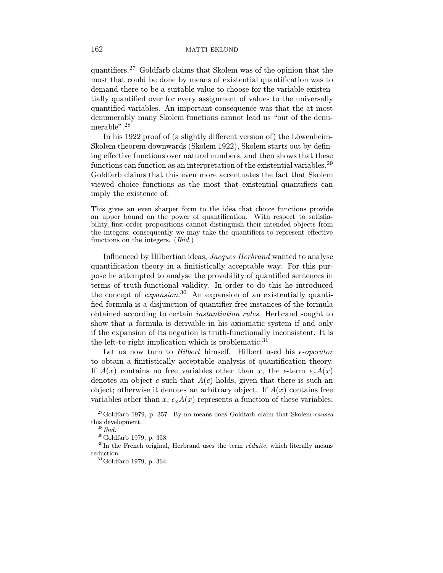quantifiers.<sup>27</sup> Goldfarb claims that Skolem was of the opinion that the most that could be done by means of existential quantification was to demand there to be a suitable value to choose for the variable existentially quantified over for every assignment of values to the universally quantified variables. An important consequence was that the at most denumerably many Skolem functions cannot lead us "out of the denumerable".<sup>28</sup>

In his 1922 proof of (a slightly different version of) the Löwenheim-Skolem theorem downwards (Skolem 1922), Skolem starts out by defining effective functions over natural numbers, and then shows that these functions can function as an interpretation of the existential variables.<sup>29</sup> Goldfarb claims that this even more accentuates the fact that Skolem viewed choice functions as the most that existential quantifiers can imply the existence of:

This gives an even sharper form to the idea that choice functions provide an upper bound on the power of quantification. With respect to satisfiability, first-order propositions cannot distinguish their intended objects from the integers; consequently we may take the quantifiers to represent effective functions on the integers. (Ibid.)

Influenced by Hilbertian ideas, Jacques Herbrand wanted to analyse quantification theory in a finitistically acceptable way. For this purpose he attempted to analyse the provability of quantified sentences in terms of truth-functional validity. In order to do this he introduced the concept of *expansion*.<sup>30</sup> An expansion of an existentially quantified formula is a disjunction of quantifier-free instances of the formula obtained according to certain instantiation rules. Herbrand sought to show that a formula is derivable in his axiomatic system if and only if the expansion of its negation is truth-functionally inconsistent. It is the left-to-right implication which is problematic.<sup>31</sup>

Let us now turn to *Hilbert* himself. Hilbert used his  $\epsilon$ -operator to obtain a finitistically acceptable analysis of quantification theory. If  $A(x)$  contains no free variables other than x, the  $\epsilon$ -term  $\epsilon_{x}A(x)$ denotes an object c such that  $A(c)$  holds, given that there is such an object; otherwise it denotes an arbitrary object. If  $A(x)$  contains free variables other than x,  $\epsilon_x A(x)$  represents a function of these variables;

 $27$ Goldfarb 1979, p. 357. By no means does Goldfarb claim that Skolem *caused* this development.

 $^{28}Ibid.$ 

<sup>29</sup>Goldfarb 1979, p. 358.

 $30$ In the French original, Herbrand uses the term  $r$ èduite, which literally means reduction.

 $^{31}$  Goldfarb 1979, p. 364.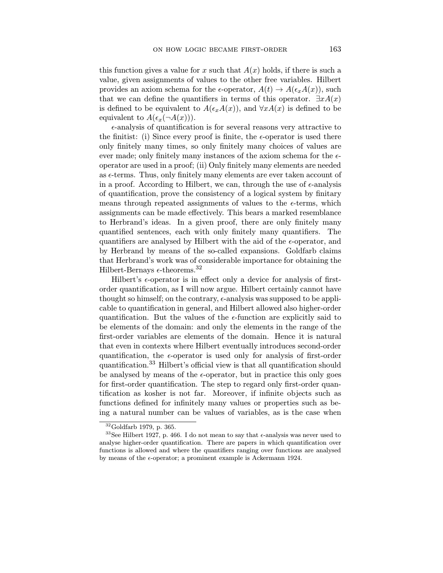this function gives a value for x such that  $A(x)$  holds, if there is such a value, given assignments of values to the other free variables. Hilbert provides an axiom schema for the  $\epsilon$ -operator,  $A(t) \to A(\epsilon_x A(x))$ , such that we can define the quantifiers in terms of this operator.  $\exists x A(x)$ is defined to be equivalent to  $A(\epsilon_x A(x))$ , and  $\forall x A(x)$  is defined to be equivalent to  $A(\epsilon_x(\neg A(x)))$ .

 $\epsilon$ -analysis of quantification is for several reasons very attractive to the finitist: (i) Since every proof is finite, the  $\epsilon$ -operator is used there only finitely many times, so only finitely many choices of values are ever made; only finitely many instances of the axiom schema for the  $\epsilon$ operator are used in a proof; (ii) Only finitely many elements are needed as  $\epsilon$ -terms. Thus, only finitely many elements are ever taken account of in a proof. According to Hilbert, we can, through the use of  $\epsilon$ -analysis of quantification, prove the consistency of a logical system by finitary means through repeated assignments of values to the  $\epsilon$ -terms, which assignments can be made effectively. This bears a marked resemblance to Herbrand's ideas. In a given proof, there are only finitely many quantified sentences, each with only finitely many quantifiers. The quantifiers are analysed by Hilbert with the aid of the  $\epsilon$ -operator, and by Herbrand by means of the so-called expansions. Goldfarb claims that Herbrand's work was of considerable importance for obtaining the Hilbert-Bernays  $\epsilon$ -theorems.<sup>32</sup>

Hilbert's  $\epsilon$ -operator is in effect only a device for analysis of firstorder quantification, as I will now argue. Hilbert certainly cannot have thought so himself; on the contrary,  $\epsilon$ -analysis was supposed to be applicable to quantification in general, and Hilbert allowed also higher-order quantification. But the values of the  $\epsilon$ -function are explicitly said to be elements of the domain: and only the elements in the range of the first-order variables are elements of the domain. Hence it is natural that even in contexts where Hilbert eventually introduces second-order quantification, the  $\epsilon$ -operator is used only for analysis of first-order quantification.<sup>33</sup> Hilbert's official view is that all quantification should be analysed by means of the  $\epsilon$ -operator, but in practice this only goes for first-order quantification. The step to regard only first-order quantification as kosher is not far. Moreover, if infinite objects such as functions defined for infinitely many values or properties such as being a natural number can be values of variables, as is the case when

 $32$ Goldfarb 1979, p. 365.

 $^{33}\text{See Hilbert}$  1927, p. 466. I do not mean to say that  $\epsilon\text{-analysis}$  was never used to analyse higher-order quantification. There are papers in which quantification over functions is allowed and where the quantifiers ranging over functions are analysed by means of the  $\epsilon$ -operator; a prominent example is Ackermann 1924.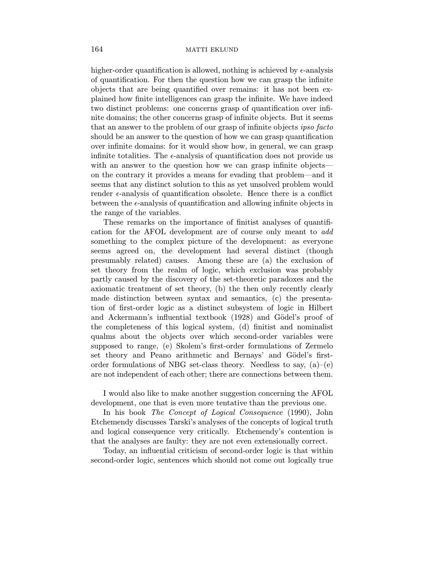higher-order quantification is allowed, nothing is achieved by  $\epsilon$ -analysis of quantification. For then the question how we can grasp the infinite objects that are being quantified over remains: it has not been explained how finite intelligences can grasp the infinite. We have indeed two distinct problems: one concerns grasp of quantification over infinite domains; the other concerns grasp of infinite objects. But it seems that an answer to the problem of our grasp of infinite objects *ipso facto* should be an answer to the question of how we can grasp quantification over infinite domains: for it would show how, in general, we can grasp infinite totalities. The  $\epsilon$ -analysis of quantification does not provide us with an answer to the question how we can grasp infinite objects on the contrary it provides a means for evading that problem—and it seems that any distinct solution to this as yet unsolved problem would render  $\epsilon$ -analysis of quantification obsolete. Hence there is a conflict between the  $\epsilon$ -analysis of quantification and allowing infinite objects in the range of the variables.

These remarks on the importance of finitist analyses of quantification for the AFOL development are of course only meant to add something to the complex picture of the development: as everyone seems agreed on, the development had several distinct (though presumably related) causes. Among these are (a) the exclusion of set theory from the realm of logic, which exclusion was probably partly caused by the discovery of the set-theoretic paradoxes and the axiomatic treatment of set theory, (b) the then only recently clearly made distinction between syntax and semantics, (c) the presentation of first-order logic as a distinct subsystem of logic in Hilbert and Ackermann's influential textbook (1928) and Gödel's proof of the completeness of this logical system, (d) finitist and nominalist qualms about the objects over which second-order variables were supposed to range, (e) Skolem's first-order formulations of Zermelo set theory and Peano arithmetic and Bernays' and Gödel's firstorder formulations of NBG set-class theory. Needless to say,  $(a)$ – $(e)$ are not independent of each other; there are connections between them.

I would also like to make another suggestion concerning the AFOL development, one that is even more tentative than the previous one.

In his book The Concept of Logical Consequence (1990), John Etchemendy discusses Tarski's analyses of the concepts of logical truth and logical consequence very critically. Etchemendy's contention is that the analyses are faulty: they are not even extensionally correct.

Today, an influential criticism of second-order logic is that within second-order logic, sentences which should not come out logically true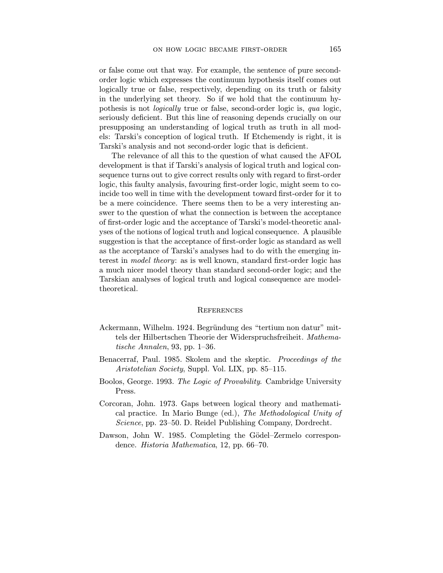or false come out that way. For example, the sentence of pure secondorder logic which expresses the continuum hypothesis itself comes out logically true or false, respectively, depending on its truth or falsity in the underlying set theory. So if we hold that the continuum hypothesis is not logically true or false, second-order logic is, qua logic, seriously deficient. But this line of reasoning depends crucially on our presupposing an understanding of logical truth as truth in all models: Tarski's conception of logical truth. If Etchemendy is right, it is Tarski's analysis and not second-order logic that is deficient.

The relevance of all this to the question of what caused the AFOL development is that if Tarski's analysis of logical truth and logical consequence turns out to give correct results only with regard to first-order logic, this faulty analysis, favouring first-order logic, might seem to coincide too well in time with the development toward first-order for it to be a mere coincidence. There seems then to be a very interesting answer to the question of what the connection is between the acceptance of first-order logic and the acceptance of Tarski's model-theoretic analyses of the notions of logical truth and logical consequence. A plausible suggestion is that the acceptance of first-order logic as standard as well as the acceptance of Tarski's analyses had to do with the emerging interest in model theory: as is well known, standard first-order logic has a much nicer model theory than standard second-order logic; and the Tarskian analyses of logical truth and logical consequence are modeltheoretical.

#### **REFERENCES**

- Ackermann, Wilhelm. 1924. Begründung des "tertium non datur" mittels der Hilbertschen Theorie der Widerspruchsfreiheit. Mathematische Annalen, 93, pp. 1–36.
- Benacerraf, Paul. 1985. Skolem and the skeptic. Proceedings of the Aristotelian Society, Suppl. Vol. LIX, pp. 85–115.
- Boolos, George. 1993. The Logic of Provability. Cambridge University Press.
- Corcoran, John. 1973. Gaps between logical theory and mathematical practice. In Mario Bunge (ed.), The Methodological Unity of Science, pp. 23–50. D. Reidel Publishing Company, Dordrecht.
- Dawson, John W. 1985. Completing the Gödel–Zermelo correspondence. Historia Mathematica, 12, pp. 66–70.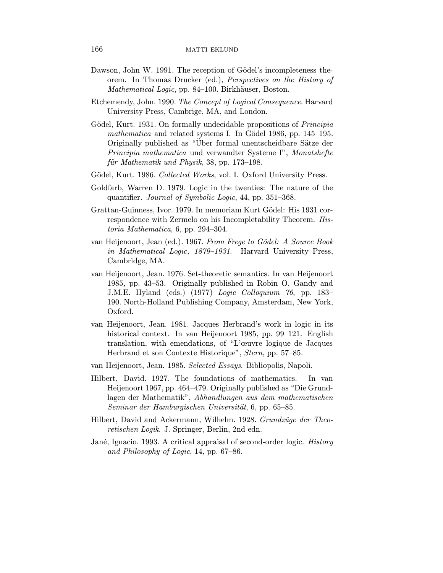- Dawson, John W. 1991. The reception of Gödel's incompleteness theorem. In Thomas Drucker (ed.), Perspectives on the History of Mathematical Logic, pp. 84–100. Birkhäuser, Boston.
- Etchemendy, John. 1990. The Concept of Logical Consequence. Harvard University Press, Cambrige, MA, and London.
- Gödel, Kurt. 1931. On formally undecidable propositions of *Principia* mathematica and related systems I. In Gödel 1986, pp.  $145-195$ . Originally published as "Über formal unentscheidbare Sätze der Principia mathematica und verwandter Systeme I", Monatshefte für Mathematik und Physik, 38, pp. 173-198.
- Gödel, Kurt. 1986. Collected Works, vol. I. Oxford University Press.
- Goldfarb, Warren D. 1979. Logic in the twenties: The nature of the quantifier. Journal of Symbolic Logic, 44, pp. 351–368.
- Grattan-Guinness, Ivor. 1979. In memoriam Kurt Gödel: His 1931 correspondence with Zermelo on his Incompletability Theorem. Historia Mathematica, 6, pp. 294–304.
- van Heijenoort, Jean (ed.). 1967. From Frege to Gödel: A Source Book in Mathematical Logic, 1879–1931. Harvard University Press, Cambridge, MA.
- van Heijenoort, Jean. 1976. Set-theoretic semantics. In van Heijenoort 1985, pp. 43–53. Originally published in Robin O. Gandy and J.M.E. Hyland (eds.) (1977) Logic Colloquium 76, pp. 183– 190. North-Holland Publishing Company, Amsterdam, New York, Oxford.
- van Heijenoort, Jean. 1981. Jacques Herbrand's work in logic in its historical context. In van Heijenoort 1985, pp. 99–121. English translation, with emendations, of "L'œuvre logique de Jacques Herbrand et son Contexte Historique", Stern, pp. 57–85.
- van Heijenoort, Jean. 1985. Selected Essays. Bibliopolis, Napoli.
- Hilbert, David. 1927. The foundations of mathematics. In van Heijenoort 1967, pp. 464–479. Originally published as "Die Grundlagen der Mathematik", Abhandlungen aus dem mathematischen Seminar der Hamburgischen Universität, 6, pp. 65–85.
- Hilbert, David and Ackermann, Wilhelm. 1928. Grundzüge der Theoretischen Logik. J. Springer, Berlin, 2nd edn.
- Jané, Ignacio. 1993. A critical appraisal of second-order logic. *History* and Philosophy of Logic, 14, pp. 67–86.